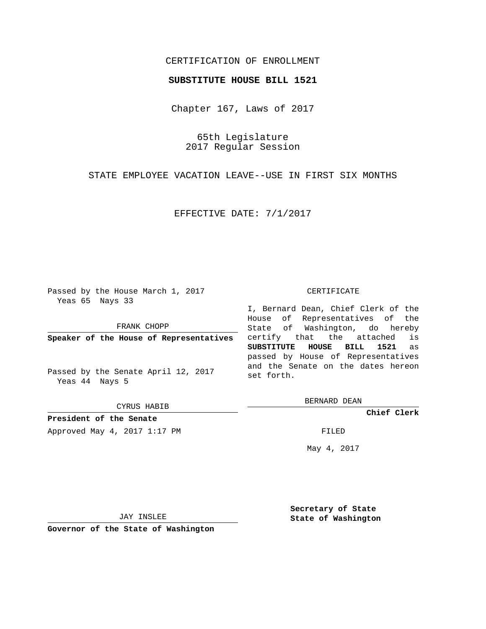# CERTIFICATION OF ENROLLMENT

### **SUBSTITUTE HOUSE BILL 1521**

Chapter 167, Laws of 2017

65th Legislature 2017 Regular Session

STATE EMPLOYEE VACATION LEAVE--USE IN FIRST SIX MONTHS

EFFECTIVE DATE: 7/1/2017

Passed by the House March 1, 2017 Yeas 65 Nays 33

FRANK CHOPP

**Speaker of the House of Representatives**

Passed by the Senate April 12, 2017 Yeas 44 Nays 5

CYRUS HABIB

**President of the Senate**

Approved May 4, 2017 1:17 PM

#### CERTIFICATE

I, Bernard Dean, Chief Clerk of the House of Representatives of the State of Washington, do hereby certify that the attached is **SUBSTITUTE HOUSE BILL 1521** as passed by House of Representatives and the Senate on the dates hereon set forth.

BERNARD DEAN

**Chief Clerk**

May 4, 2017

JAY INSLEE

**Governor of the State of Washington**

**Secretary of State State of Washington**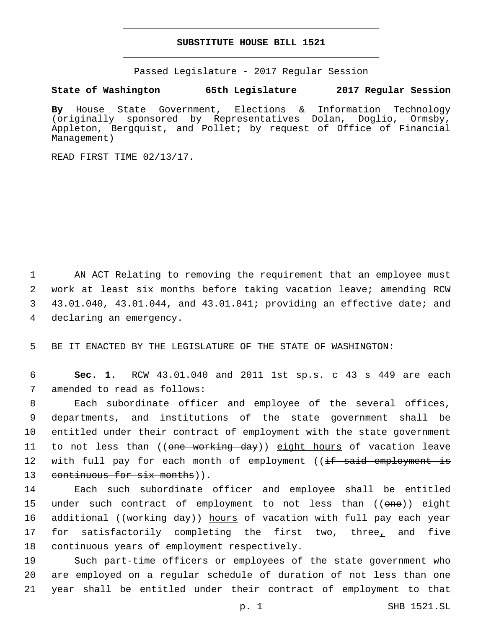### **SUBSTITUTE HOUSE BILL 1521**

Passed Legislature - 2017 Regular Session

## **State of Washington 65th Legislature 2017 Regular Session**

**By** House State Government, Elections & Information Technology (originally sponsored by Representatives Dolan, Doglio, Ormsby, Appleton, Bergquist, and Pollet; by request of Office of Financial Management)

READ FIRST TIME 02/13/17.

 AN ACT Relating to removing the requirement that an employee must work at least six months before taking vacation leave; amending RCW 43.01.040, 43.01.044, and 43.01.041; providing an effective date; and 4 declaring an emergency.

5 BE IT ENACTED BY THE LEGISLATURE OF THE STATE OF WASHINGTON:

6 **Sec. 1.** RCW 43.01.040 and 2011 1st sp.s. c 43 s 449 are each 7 amended to read as follows:

8 Each subordinate officer and employee of the several offices, 9 departments, and institutions of the state government shall be 10 entitled under their contract of employment with the state government 11 to not less than ((<del>one working day</del>)) <u>eight hours</u> of vacation leave 12 with full pay for each month of employment ((<del>if said employment is</del> 13 continuous for six months)).

14 Each such subordinate officer and employee shall be entitled 15 under such contract of employment to not less than ((one)) eight 16 additional ((<del>working day</del>)) hours of vacation with full pay each year 17 for satisfactorily completing the first two, three, and five 18 continuous years of employment respectively.

19 Such part-time officers or employees of the state government who 20 are employed on a regular schedule of duration of not less than one 21 year shall be entitled under their contract of employment to that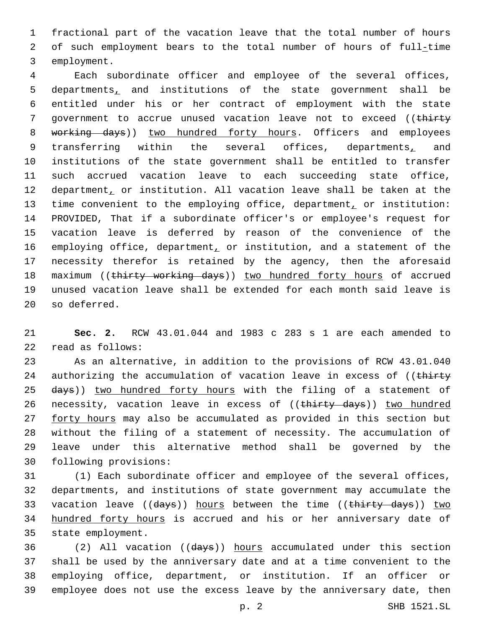1 fractional part of the vacation leave that the total number of hours 2 of such employment bears to the total number of hours of full-time 3 employment.

4 Each subordinate officer and employee of the several offices, 5 departments, and institutions of the state government shall be 6 entitled under his or her contract of employment with the state 7 government to accrue unused vacation leave not to exceed ((thirty 8 working days)) two hundred forty hours. Officers and employees 9 transferring within the several offices, departments, and 10 institutions of the state government shall be entitled to transfer 11 such accrued vacation leave to each succeeding state office, 12 department, or institution. All vacation leave shall be taken at the 13 time convenient to the employing office, department, or institution: 14 PROVIDED, That if a subordinate officer's or employee's request for 15 vacation leave is deferred by reason of the convenience of the 16 employing office, department, or institution, and a statement of the 17 necessity therefor is retained by the agency, then the aforesaid 18 maximum ((thirty working days)) two hundred forty hours of accrued 19 unused vacation leave shall be extended for each month said leave is 20 so deferred.

21 **Sec. 2.** RCW 43.01.044 and 1983 c 283 s 1 are each amended to read as follows:22

23 As an alternative, in addition to the provisions of RCW 43.01.040 24 authorizing the accumulation of vacation leave in excess of ((thirty 25 days)) two hundred forty hours with the filing of a statement of 26 necessity, vacation leave in excess of ((thirty days)) two hundred 27 forty hours may also be accumulated as provided in this section but 28 without the filing of a statement of necessity. The accumulation of 29 leave under this alternative method shall be governed by the 30 following provisions:

31 (1) Each subordinate officer and employee of the several offices, 32 departments, and institutions of state government may accumulate the 33 vacation leave ((days)) hours between the time ((thirty days)) two 34 hundred forty hours is accrued and his or her anniversary date of 35 state employment.

 (2) All vacation ((days)) hours accumulated under this section shall be used by the anniversary date and at a time convenient to the employing office, department, or institution. If an officer or employee does not use the excess leave by the anniversary date, then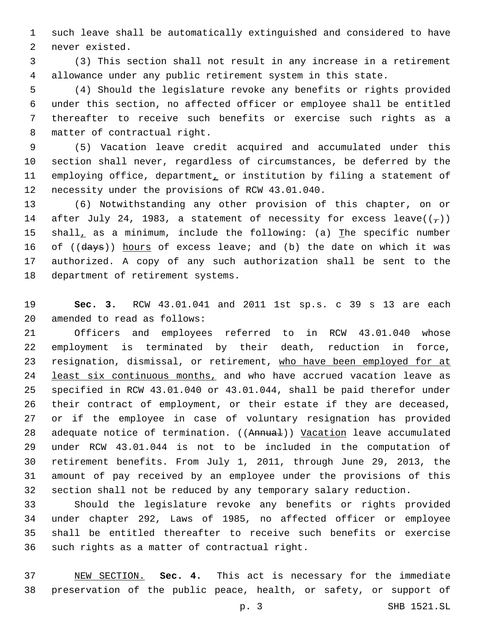such leave shall be automatically extinguished and considered to have 2 never existed.

 (3) This section shall not result in any increase in a retirement allowance under any public retirement system in this state.

 (4) Should the legislature revoke any benefits or rights provided under this section, no affected officer or employee shall be entitled thereafter to receive such benefits or exercise such rights as a 8 matter of contractual right.

 (5) Vacation leave credit acquired and accumulated under this section shall never, regardless of circumstances, be deferred by the 11 employing office, department, or institution by filing a statement of 12 necessity under the provisions of RCW 43.01.040.

 (6) Notwithstanding any other provision of this chapter, on or 14 after July 24, 1983, a statement of necessity for excess leave( $(\tau)$ ) 15 shall, as a minimum, include the following: (a) The specific number 16 of ((days)) hours of excess leave; and (b) the date on which it was authorized. A copy of any such authorization shall be sent to the 18 department of retirement systems.

 **Sec. 3.** RCW 43.01.041 and 2011 1st sp.s. c 39 s 13 are each 20 amended to read as follows:

 Officers and employees referred to in RCW 43.01.040 whose employment is terminated by their death, reduction in force, 23 resignation, dismissal, or retirement, who have been employed for at 24 least six continuous months, and who have accrued vacation leave as specified in RCW 43.01.040 or 43.01.044, shall be paid therefor under their contract of employment, or their estate if they are deceased, or if the employee in case of voluntary resignation has provided 28 adequate notice of termination. ((Annual)) Vacation leave accumulated under RCW 43.01.044 is not to be included in the computation of retirement benefits. From July 1, 2011, through June 29, 2013, the amount of pay received by an employee under the provisions of this section shall not be reduced by any temporary salary reduction.

 Should the legislature revoke any benefits or rights provided under chapter 292, Laws of 1985, no affected officer or employee shall be entitled thereafter to receive such benefits or exercise 36 such rights as a matter of contractual right.

 NEW SECTION. **Sec. 4.** This act is necessary for the immediate preservation of the public peace, health, or safety, or support of

p. 3 SHB 1521.SL